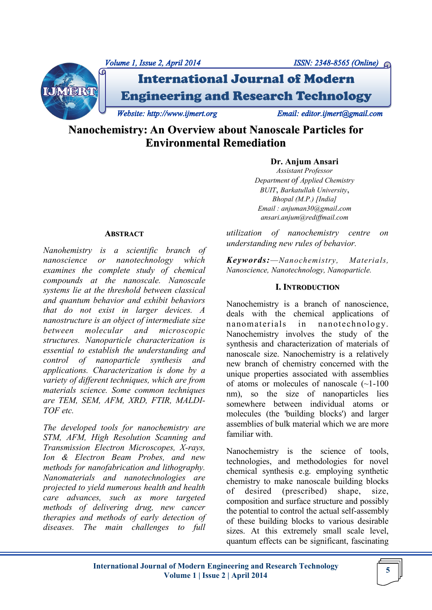



# International Journal of Modern Engineering and Research Technology

*Website: http://www.ijmert.org Email: editor.ijmert@gmail.com* 

**Nanochemistry: An Overview about Nanoscale Particles for Environmental Remediation**

# **Dr. Anjum Ansari**

*Assistant Professor Department of Applied Chemistry BUIT*, *Barkatullah University*, *Bhopal (M.P.) [India] Email : anjuman30@gmail*.*com ansari.anjum@rediffmail.com*

*utilization of nanochemistry centre on understanding new rules of behavior.*

*Keywords:—Nanochemistry, Materials, Nanoscience, Nanotechnology, Nanoparticle.*

# **I. INTRODUCTION**

Nanochemistry is a branch of nanoscience, deals with the chemical applications of nanomaterials in nanotechnology. Nanochemistry involves the study of the synthesis and characterization of materials of nanoscale size. Nanochemistry is a relatively new branch of chemistry concerned with the unique properties associated with assemblies of atoms or molecules of nanoscale (~1-100 nm), so the size of nanoparticles lies somewhere between individual atoms or molecules (the 'building blocks') and larger assemblies of bulk material which we are more familiar with.

Nanochemistry is the science of tools, technologies, and methodologies for novel chemical synthesis e.g. employing synthetic chemistry to make nanoscale building blocks of desired (prescribed) shape, size, composition and surface structure and possibly the potential to control the actual self-assembly of these building blocks to various desirable sizes. At this extremely small scale level, quantum effects can be significant, fascinating

#### **ABSTRACT**

*Nanohemistry is a scientific branch of nanoscience or nanotechnology which examines the complete study of chemical compounds at the nanoscale. Nanoscale systems lie at the threshold between classical and quantum behavior and exhibit behaviors that do not exist in larger devices. A nanostructure is an object of intermediate size between molecular and microscopic structures. Nanoparticle characterization is essential to establish the understanding and control of nanoparticle synthesis and applications. Characterization is done by a variety of different techniques, which are from materials science. Some common techniques are TEM, SEM, AFM, XRD, FTIR, MALDI-TOF etc.*

*The developed tools for nanochemistry are STM, AFM, High Resolution Scanning and Transmission Electron Microscopes, X-rays, Ion & Electron Beam Probes, and new methods for nanofabrication and lithography. Nanomaterials and nanotechnologies are projected to yield numerous health and health care advances, such as more targeted methods of delivering drug, new cancer therapies and methods of early detection of diseases. The main challenges to full*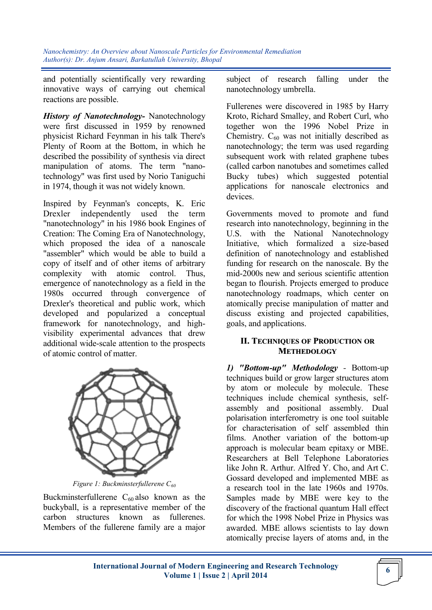and potentially scientifically very rewarding innovative ways of carrying out chemical reactions are possible.

*History of Nanotechnology-* Nanotechnology were first discussed in 1959 by renowned physicist Richard Feynman in his talk There's Plenty of Room at the Bottom, in which he described the possibility of synthesis via direct manipulation of atoms. The term "nanotechnology" was first used by Norio Taniguchi in 1974, though it was not widely known.

Inspired by Feynman's concepts, K. Eric Drexler independently used the term "nanotechnology" in his 1986 book Engines of Creation: The Coming Era of Nanotechnology, which proposed the idea of a nanoscale "assembler" which would be able to build a copy of itself and of other items of arbitrary complexity with atomic control. Thus, emergence of nanotechnology as a field in the 1980s occurred through convergence of Drexler's theoretical and public work, which developed and popularized a conceptual framework for nanotechnology, and highvisibility experimental advances that drew additional wide-scale attention to the prospects of atomic control of matter.



*Figure 1: Buckminsterfullerene C<sup>60</sup>*

Buckminsterfullerene  $C_{60}$  also known as the buckyball, is a representative member of the carbon structures known as fullerenes. Members of the fullerene family are a major

subject of research falling under the nanotechnology umbrella.

Fullerenes were discovered in 1985 by Harry Kroto, Richard Smalley, and Robert Curl, who together won the 1996 Nobel Prize in Chemistry.  $C_{60}$  was not initially described as nanotechnology; the term was used regarding subsequent work with related graphene tubes (called carbon nanotubes and sometimes called Bucky tubes) which suggested potential applications for nanoscale electronics and devices.

Governments moved to promote and fund research into nanotechnology, beginning in the U.S. with the National Nanotechnology Initiative, which formalized a size-based definition of nanotechnology and established funding for research on the nanoscale. By the mid-2000s new and serious scientific attention began to flourish. Projects emerged to produce nanotechnology roadmaps, which center on atomically precise manipulation of matter and discuss existing and projected capabilities, goals, and applications.

# **II. TECHNIQUES OF PRODUCTION OR METHEDOLOGY**

*1) "Bottom-up" Methodology -* Bottom-up techniques build or grow larger structures atom by atom or molecule by molecule. These techniques include chemical synthesis, selfassembly and positional assembly. Dual polarisation interferometry is one tool suitable for characterisation of self assembled thin films. Another variation of the bottom-up approach is molecular beam epitaxy or MBE. Researchers at Bell Telephone Laboratories like John R. Arthur. Alfred Y. Cho, and Art C. Gossard developed and implemented MBE as a research tool in the late 1960s and 1970s. Samples made by MBE were key to the discovery of the fractional quantum Hall effect for which the 1998 Nobel Prize in Physics was awarded. MBE allows scientists to lay down atomically precise layers of atoms and, in the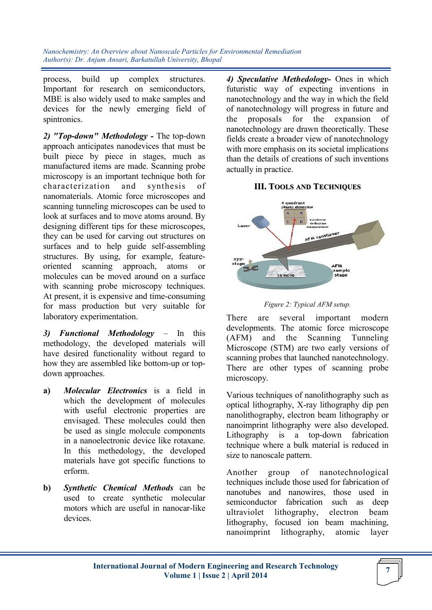process, build up complex structures. Important for research on semiconductors, MBE is also widely used to make samples and devices for the newly emerging field of spintronics.

*2) "Top-down" Methodology -* The top-down approach anticipates nanodevices that must be built piece by piece in stages, much as manufactured items are made. Scanning probe microscopy is an important technique both for characterization and synthesis of nanomaterials. Atomic force microscopes and scanning tunneling microscopes can be used to look at surfaces and to move atoms around. By designing different tips for these microscopes, they can be used for carving out structures on surfaces and to help guide self-assembling structures. By using, for example, featureoriented scanning approach, atoms or molecules can be moved around on a surface with scanning probe microscopy techniques. At present, it is expensive and time-consuming for mass production but very suitable for laboratory experimentation.

*3) Functional Methodology –* In this methodology, the developed materials will have desired functionality without regard to how they are assembled like bottom-up or topdown approaches.

- **a)** *Molecular Electronics* is a field in which the development of molecules with useful electronic properties are envisaged. These molecules could then be used as single molecule components in a nanoelectronic device like rotaxane. In this methedology, the developed materials have got specific functions to erform.
- **b)** *Synthetic Chemical Methods* can be used to create synthetic molecular motors which are useful in nanocar-like devices.

*4) Speculative Methedology-* Ones in which futuristic way of expecting inventions in nanotechnology and the way in which the field of nanotechnology will progress in future and the proposals for the expansion of nanotechnology are drawn theoretically. These fields create a broader view of nanotechnology with more emphasis on its societal implications than the details of creations of such inventions actually in practice.

#### **III. TOOLS AND TECHNIQUES**



*Figure 2: Typical AFM setup.*

There are several important modern developments. The atomic force microscope (AFM) and the Scanning Tunneling Microscope (STM) are two early versions of scanning probes that launched nanotechnology. There are other types of scanning probe microscopy.

Various techniques of nanolithography such as optical lithography, X-ray lithography dip pen nanolithography, electron beam lithography or nanoimprint lithography were also developed. Lithography is a top-down fabrication technique where a bulk material is reduced in size to nanoscale pattern.

Another group of nanotechnological techniques include those used for fabrication of nanotubes and nanowires, those used in semiconductor fabrication such as deep ultraviolet lithography, electron beam lithography, focused ion beam machining, nanoimprint lithography, atomic layer

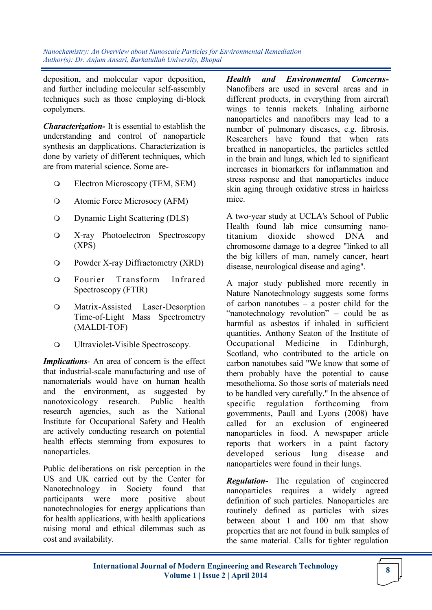deposition, and molecular vapor deposition, and further including molecular self-assembly techniques such as those employing di-block copolymers.

*Characterization-* It is essential to establish the understanding and control of nanoparticle synthesis an dapplications. Characterization is done by variety of different techniques, which are from material science. Some are-

- Electron Microscopy (TEM, SEM)
- Atomic Force Microsocy (AFM)
- Dynamic Light Scattering (DLS)
- X-ray Photoelectron Spectroscopy (XPS)
- Powder X-ray Diffractometry (XRD)
- Fourier Transform Infrared Spectroscopy (FTIR)
- Matrix-Assisted Laser-Desorption Time-of-Light Mass Spectrometry (MALDI-TOF)
- Ultraviolet-Visible Spectroscopy.

*Implications*- An area of concern is the effect that industrial-scale manufacturing and use of nanomaterials would have on human health and the environment, as suggested by nanotoxicology research. Public health research agencies, such as the National Institute for Occupational Safety and Health are actively conducting research on potential health effects stemming from exposures to nanoparticles.

Public deliberations on risk perception in the US and UK carried out by the Center for Nanotechnology in Society found that participants were more positive about nanotechnologies for energy applications than for health applications, with health applications raising moral and ethical dilemmas such as cost and availability.

*Health and Environmental Concerns-*Nanofibers are used in several areas and in different products, in everything from aircraft wings to tennis rackets. Inhaling airborne nanoparticles and nanofibers may lead to a number of pulmonary diseases, e.g. fibrosis. Researchers have found that when rats breathed in nanoparticles, the particles settled in the brain and lungs, which led to significant increases in biomarkers for inflammation and stress response and that nanoparticles induce skin aging through oxidative stress in hairless mice.

A two-year study at UCLA's School of Public Health found lab mice consuming nanotitanium dioxide showed DNA and chromosome damage to a degree "linked to all the big killers of man, namely cancer, heart disease, neurological disease and aging".

A major study published more recently in Nature Nanotechnology suggests some forms of carbon nanotubes – a poster child for the "nanotechnology revolution" – could be as harmful as asbestos if inhaled in sufficient quantities. Anthony Seaton of the Institute of Occupational Medicine in Edinburgh, Scotland, who contributed to the article on carbon nanotubes said "We know that some of them probably have the potential to cause mesothelioma. So those sorts of materials need to be handled very carefully." In the absence of specific regulation forthcoming from governments, Paull and Lyons (2008) have called for an exclusion of engineered nanoparticles in food. A newspaper article reports that workers in a paint factory developed serious lung disease and nanoparticles were found in their lungs.

*Regulation-* The regulation of engineered nanoparticles requires a widely agreed definition of such particles. Nanoparticles are routinely defined as particles with sizes between about 1 and 100 nm that show properties that are not found in bulk samples of the same material. Calls for tighter regulation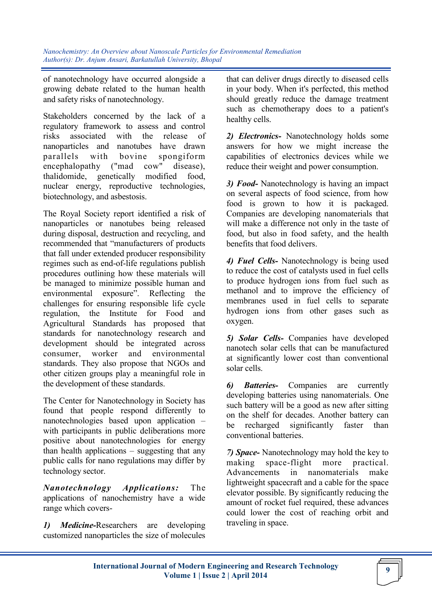of nanotechnology have occurred alongside a growing debate related to the human health and safety risks of nanotechnology.

Stakeholders concerned by the lack of a regulatory framework to assess and control risks associated with the release of nanoparticles and nanotubes have drawn parallels with bovine spongiform<br>encephalopathy ("mad cow" disease),  $encephalopathy$  ("mad thalidomide, genetically modified food, nuclear energy, reproductive technologies, biotechnology, and asbestosis.

The Royal Society report identified a risk of nanoparticles or nanotubes being released during disposal, destruction and recycling, and recommended that "manufacturers of products that fall under extended producer responsibility regimes such as end-of-life regulations publish procedures outlining how these materials will be managed to minimize possible human and environmental exposure". Reflecting the challenges for ensuring responsible life cycle regulation, the Institute for Food and Agricultural Standards has proposed that standards for nanotechnology research and development should be integrated across consumer, worker and environmental standards. They also propose that NGOs and other citizen groups play a meaningful role in the development of these standards.

The Center for Nanotechnology in Society has found that people respond differently to nanotechnologies based upon application – with participants in public deliberations more positive about nanotechnologies for energy than health applications – suggesting that any public calls for nano regulations may differ by technology sector.

*Nanotechnology Applications:* The applications of nanochemistry have a wide range which covers-

*1) Medicine-*Researchers are developing customized nanoparticles the size of molecules

that can deliver drugs directly to diseased cells in your body. When it's perfected, this method should greatly reduce the damage treatment such as chemotherapy does to a patient's healthy cells.

*2) Electronics-* Nanotechnology holds some answers for how we might increase the capabilities of electronics devices while we reduce their weight and power consumption.

*3) Food-* Nanotechnology is having an impact on several aspects of food science, from how food is grown to how it is packaged. Companies are developing nanomaterials that will make a difference not only in the taste of food, but also in food safety, and the health benefits that food delivers.

*4) Fuel Cells-* Nanotechnology is being used to reduce the cost of catalysts used in fuel cells to produce hydrogen ions from fuel such as methanol and to improve the efficiency of membranes used in fuel cells to separate hydrogen ions from other gases such as oxygen.

*5) Solar Cells-* Companies have developed nanotech solar cells that can be manufactured at significantly lower cost than conventional solar cells.

*6) Batteries-* Companies are currently developing batteries using nanomaterials. One such battery will be a good as new after sitting on the shelf for decades. Another battery can be recharged significantly faster than conventional batteries.

*7) Space-* Nanotechnology may hold the key to making space-flight more practical. Advancements in nanomaterials make lightweight spacecraft and a cable for the space elevator possible. By significantly reducing the amount of rocket fuel required, these advances could lower the cost of reaching orbit and traveling in space.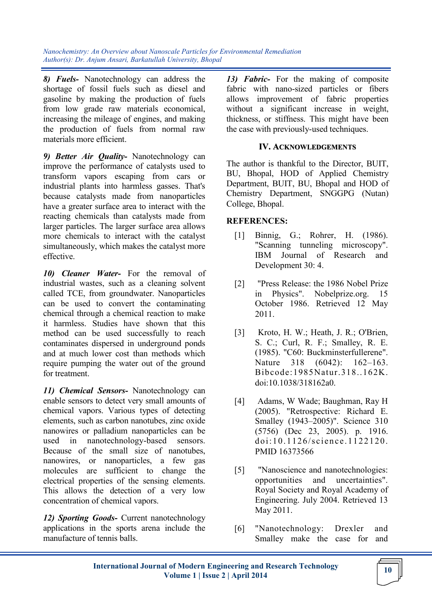*8) Fuels-* Nanotechnology can address the shortage of fossil fuels such as diesel and gasoline by making the production of fuels from low grade raw materials economical, increasing the mileage of engines, and making the production of fuels from normal raw materials more efficient.

*9) Better Air Quality-* Nanotechnology can improve the performance of catalysts used to transform vapors escaping from cars or industrial plants into harmless gasses. That's because catalysts made from nanoparticles have a greater surface area to interact with the reacting chemicals than catalysts made from larger particles. The larger surface area allows more chemicals to interact with the catalyst simultaneously, which makes the catalyst more effective.

*10) Cleaner Water-* For the removal of industrial wastes, such as a cleaning solvent called TCE, from groundwater. Nanoparticles can be used to convert the contaminating chemical through a chemical reaction to make it harmless. Studies have shown that this method can be used successfully to reach contaminates dispersed in underground ponds and at much lower cost than methods which require pumping the water out of the ground for treatment.

*11) Chemical Sensors-* Nanotechnology can enable sensors to detect very small amounts of chemical vapors. Various types of detecting elements, such as carbon nanotubes, zinc oxide nanowires or palladium nanoparticles can be used in nanotechnology-based sensors. Because of the small size of nanotubes, nanowires, or nanoparticles, a few gas molecules are sufficient to change the electrical properties of the sensing elements. This allows the detection of a very low concentration of chemical vapors.

*12) Sporting Goods-* Current nanotechnology applications in the sports arena include the manufacture of tennis balls.

*13) Fabric-* For the making of composite fabric with nano-sized particles or fibers allows improvement of fabric properties without a significant increase in weight, thickness, or stiffness. This might have been the case with previously-used techniques.

### **IV. ACKNOWLEDGEMENTS**

The author is thankful to the Director, BUIT, BU, Bhopal, HOD of Applied Chemistry Department, BUIT, BU, Bhopal and HOD of Chemistry Department, SNGGPG (Nutan) College, Bhopal.

#### **REFERENCES:**

- [1] Binnig, G.; Rohrer, H. (1986). "Scanning tunneling microscopy". IBM Journal of Research and Development 30: 4.
- [2] "Press Release: the 1986 Nobel Prize in Physics". Nobelprize.org. 15 October 1986. Retrieved 12 May 2011.
- [3] Kroto, H. W.; Heath, J. R.; O'Brien, S. C.; Curl, R. F.; Smalley, R. E. (1985). "C60: Buckminsterfullerene". Nature 318 (6042): 162–163. Bibcode:1985Natur.318..162K. doi:10.1038/318162a0.
- [4] Adams, W Wade; Baughman, Ray H (2005). "Retrospective: Richard E. Smalley (1943–2005)". Science 310 (5756) (Dec 23, 2005). p. 1916.  $d$ oi:10.1126/science.1122120. PMID 16373566
- [5] "Nanoscience and nanotechnologies: opportunities and uncertainties". Royal Society and Royal Academy of Engineering. July 2004. Retrieved 13 May 2011.
- [6] "Nanotechnology: Drexler and Smalley make the case for and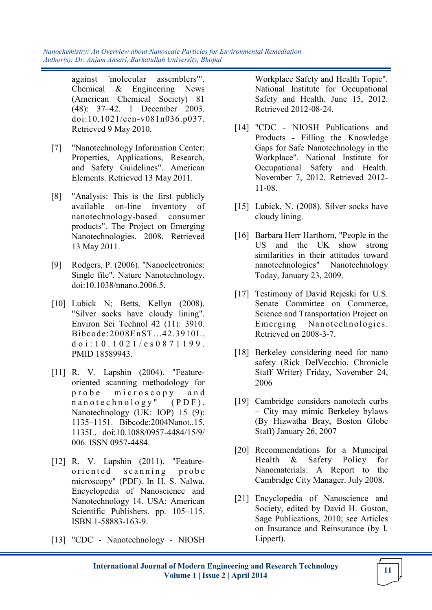> against 'molecular assemblers'". Chemical & Engineering News (American Chemical Society) 81 (48): 37–42. 1 December 2003. doi:10.1021/cen-v081n036.p037. Retrieved 9 May 2010.

- [7] "Nanotechnology Information Center: Properties, Applications, Research, and Safety Guidelines". American Elements. Retrieved 13 May 2011.
- [8] "Analysis: This is the first publicly available on-line inventory of nanotechnology-based consumer products". The Project on Emerging Nanotechnologies. 2008. Retrieved 13 May 2011.
- [9] Rodgers, P. (2006). "Nanoelectronics: Single file". Nature Nanotechnology. doi:10.1038/nnano.2006.5.
- [10] Lubick N; Betts, Kellyn (2008). "Silver socks have cloudy lining". Environ Sci Technol 42 (11): 3910. Bibcode:2008EnST...42.3910L. d o i : 10.1021/e s 0871199. PMID 18589943.
- [11] R. V. Lapshin (2004). "Featureoriented scanning methodology for probe microscopy and  $n a n o t e c h n o l o g y''$  (PDF). Nanotechnology (UK: IOP) 15 (9): 1135–1151. Bibcode:2004Nanot..15. 1135L. doi:10.1088/0957-4484/15/9/ 006. ISSN 0957-4484.
- [12] R. V. Lapshin (2011). "Featureoriented scanning probe microscopy" (PDF). In H. S. Nalwa. Encyclopedia of Nanoscience and Nanotechnology 14. USA: American Scientific Publishers. pp. 105–115. ISBN 1-58883-163-9.
- [13] "CDC Nanotechnology NIOSH

Workplace Safety and Health Topic". National Institute for Occupational Safety and Health. June 15, 2012. Retrieved 2012-08-24.

- [14] "CDC NIOSH Publications and Products - Filling the Knowledge Gaps for Safe Nanotechnology in the Workplace". National Institute for Occupational Safety and Health. November 7, 2012. Retrieved 2012- 11-08.
- [15] Lubick, N. (2008). Silver socks have cloudy lining.
- [16] Barbara Herr Harthorn, "People in the US and the UK show strong similarities in their attitudes toward nanotechnologies" Nanotechnology Today, January 23, 2009.
- [17] Testimony of David Rejeski for U.S. Senate Committee on Commerce, Science and Transportation Project on Emerging Nanotechnologies. Retrieved on 2008-3-7.
- [18] Berkeley considering need for nano safety (Rick DelVecchio, Chronicle Staff Writer) Friday, November 24, 2006
- [19] Cambridge considers nanotech curbs – City may mimic Berkeley bylaws (By Hiawatha Bray, Boston Globe Staff) January 26, 2007
- [20] Recommendations for a Municipal Health & Safety Policy for Nanomaterials: A Report to the Cambridge City Manager. July 2008.
- [21] Encyclopedia of Nanoscience and Society, edited by David H. Guston, Sage Publications, 2010; see Articles on Insurance and Reinsurance (by I. Lippert).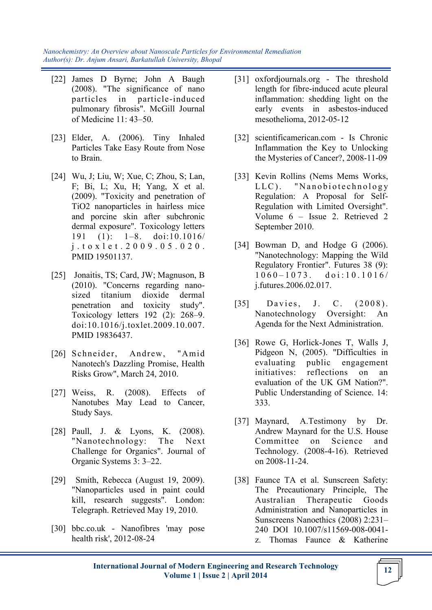- [22] James D Byrne; John A Baugh (2008). "The significance of nano particles in particle-induced pulmonary fibrosis". McGill Journal of Medicine 11: 43–50.
- [23] Elder, A. (2006). Tiny Inhaled Particles Take Easy Route from Nose to Brain.
- [24] Wu, J; Liu, W; Xue, C; Zhou, S; Lan, F; Bi, L; Xu, H; Yang, X et al. (2009). "Toxicity and penetration of TiO2 nanoparticles in hairless mice and porcine skin after subchronic dermal exposure". Toxicology letters 191 (1): 1–8. doi:10.1016/ j . t o x l e t . 2 0 0 9 . 0 5 . 0 2 0 . PMID 19501137.
- [25] Jonaitis, TS; Card, JW; Magnuson, B (2010). "Concerns regarding nanosized titanium dioxide dermal penetration and toxicity study". Toxicology letters 192 (2): 268–9. doi:10.1016/j.toxlet.2009.10.007. PMID 19836437.
- [26] Schneider, Andrew, "Amid Nanotech's Dazzling Promise, Health Risks Grow", March 24, 2010.
- [27] Weiss, R. (2008). Effects of Nanotubes May Lead to Cancer, Study Says.
- [28] Paull, J. & Lyons, K. (2008). "Nanotechnology: The Next Challenge for Organics". Journal of Organic Systems 3: 3–22.
- [29] Smith, Rebecca (August 19, 2009). "Nanoparticles used in paint could kill, research suggests". London: Telegraph. Retrieved May 19, 2010.
- [30] bbc.co.uk Nanofibres 'may pose health risk', 2012-08-24
- [31] oxfordjournals.org The threshold length for fibre-induced acute pleural inflammation: shedding light on the early events in asbestos-induced mesothelioma, 2012-05-12
- [32] scientificamerican.com Is Chronic Inflammation the Key to Unlocking the Mysteries of Cancer?, 2008-11-09
- [33] Kevin Rollins (Nems Mems Works, LLC). "Nanobiotechnology Regulation: A Proposal for Self-Regulation with Limited Oversight". Volume 6 – Issue 2. Retrieved 2 September 2010.
- [34] Bowman D, and Hodge G (2006). "Nanotechnology: Mapping the Wild Regulatory Frontier". Futures 38 (9):  $1060 - 1073$ . doi:10.1016/ j.futures.2006.02.017.
- $[35]$  Davies, J. C.  $(2008)$ . Nanotechnology Oversight: An Agenda for the Next Administration.
- [36] Rowe G, Horlick-Jones T, Walls J, Pidgeon N, (2005). "Difficulties in evaluating public engagement initiatives: reflections on an evaluation of the UK GM Nation?". Public Understanding of Science. 14: 333.
- [37] Maynard, A.Testimony by Dr. Andrew Maynard for the U.S. House Committee on Science and Technology. (2008-4-16). Retrieved on 2008-11-24.
- [38] Faunce TA et al. Sunscreen Safety: The Precautionary Principle, The Australian Therapeutic Goods Administration and Nanoparticles in Sunscreens Nanoethics (2008) 2:231– 240 DOI 10.1007/s11569-008-0041 z. Thomas Faunce & Katherine